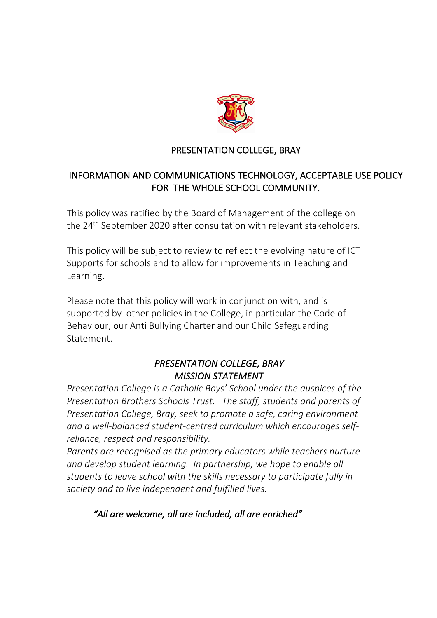

### PRESENTATION COLLEGE, BRAY

## INFORMATION AND COMMUNICATIONS TECHNOLOGY, ACCEPTABLE USE POLICY FOR THE WHOLE SCHOOL COMMUNITY.

This policy was ratified by the Board of Management of the college on the 24<sup>th</sup> September 2020 after consultation with relevant stakeholders.

This policy will be subject to review to reflect the evolving nature of ICT Supports for schools and to allow for improvements in Teaching and Learning.

Please note that this policy will work in conjunction with, and is supported by other policies in the College, in particular the Code of Behaviour, our Anti Bullying Charter and our Child Safeguarding Statement.

# *PRESENTATION COLLEGE, BRAY MISSION STATEMENT*

*Presentation College is a Catholic Boys' School under the auspices of the Presentation Brothers Schools Trust. The staff, students and parents of Presentation College, Bray, seek to promote a safe, caring environment and a well-balanced student-centred curriculum which encourages selfreliance, respect and responsibility.*

*Parents are recognised as the primary educators while teachers nurture and develop student learning. In partnership, we hope to enable all students to leave school with the skills necessary to participate fully in society and to live independent and fulfilled lives.*

### *"All are welcome, all are included, all are enriched"*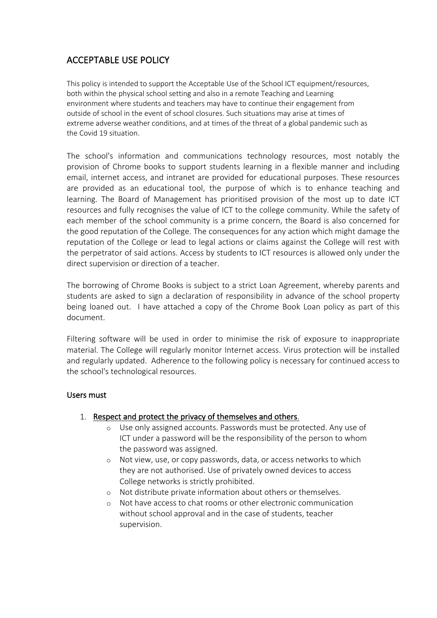### ACCEPTABLE USE POLICY

This policy is intended to support the Acceptable Use of the School ICT equipment/resources, both within the physical school setting and also in a remote Teaching and Learning environment where students and teachers may have to continue their engagement from outside of school in the event of school closures. Such situations may arise at times of extreme adverse weather conditions, and at times of the threat of a global pandemic such as the Covid 19 situation.

The school's information and communications technology resources, most notably the provision of Chrome books to support students learning in a flexible manner and including email, internet access, and intranet are provided for educational purposes. These resources are provided as an educational tool, the purpose of which is to enhance teaching and learning. The Board of Management has prioritised provision of the most up to date ICT resources and fully recognises the value of ICT to the college community. While the safety of each member of the school community is a prime concern, the Board is also concerned for the good reputation of the College. The consequences for any action which might damage the reputation of the College or lead to legal actions or claims against the College will rest with the perpetrator of said actions. Access by students to ICT resources is allowed only under the direct supervision or direction of a teacher.

The borrowing of Chrome Books is subject to a strict Loan Agreement, whereby parents and students are asked to sign a declaration of responsibility in advance of the school property being loaned out. I have attached a copy of the Chrome Book Loan policy as part of this document.

Filtering software will be used in order to minimise the risk of exposure to inappropriate material. The College will regularly monitor Internet access. Virus protection will be installed and regularly updated. Adherence to the following policy is necessary for continued access to the school's technological resources.

#### Users must

#### 1. Respect and protect the privacy of themselves and others.

- o Use only assigned accounts. Passwords must be protected. Any use of ICT under a password will be the responsibility of the person to whom the password was assigned.
- o Not view, use, or copy passwords, data, or access networks to which they are not authorised. Use of privately owned devices to access College networks is strictly prohibited.
- o Not distribute private information about others or themselves.
- o Not have access to chat rooms or other electronic communication without school approval and in the case of students, teacher supervision.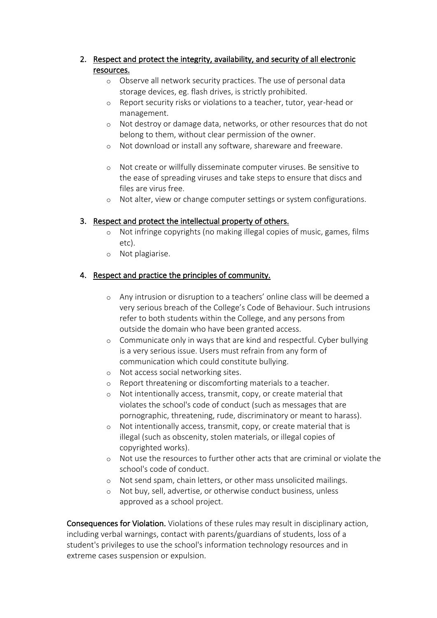#### 2. Respect and protect the integrity, availability, and security of all electronic resources.

- o Observe all network security practices. The use of personal data storage devices, eg. flash drives, is strictly prohibited.
- o Report security risks or violations to a teacher, tutor, year-head or management.
- o Not destroy or damage data, networks, or other resources that do not belong to them, without clear permission of the owner.
- o Not download or install any software, shareware and freeware.
- o Not create or willfully disseminate computer viruses. Be sensitive to the ease of spreading viruses and take steps to ensure that discs and files are virus free.
- o Not alter, view or change computer settings or system configurations.

### 3. Respect and protect the intellectual property of others.

- o Not infringe copyrights (no making illegal copies of music, games, films etc).
- o Not plagiarise.

### 4. Respect and practice the principles of community.

- o Any intrusion or disruption to a teachers' online class will be deemed a very serious breach of the College's Code of Behaviour. Such intrusions refer to both students within the College, and any persons from outside the domain who have been granted access.
- o Communicate only in ways that are kind and respectful. Cyber bullying is a very serious issue. Users must refrain from any form of communication which could constitute bullying.
- o Not access social networking sites.
- o Report threatening or discomforting materials to a teacher.
- o Not intentionally access, transmit, copy, or create material that violates the school's code of conduct (such as messages that are pornographic, threatening, rude, discriminatory or meant to harass).
- o Not intentionally access, transmit, copy, or create material that is illegal (such as obscenity, stolen materials, or illegal copies of copyrighted works).
- o Not use the resources to further other acts that are criminal or violate the school's code of conduct.
- o Not send spam, chain letters, or other mass unsolicited mailings.
- o Not buy, sell, advertise, or otherwise conduct business, unless approved as a school project.

Consequences for Violation. Violations of these rules may result in disciplinary action, including verbal warnings, contact with parents/guardians of students, loss of a student's privileges to use the school's information technology resources and in extreme cases suspension or expulsion.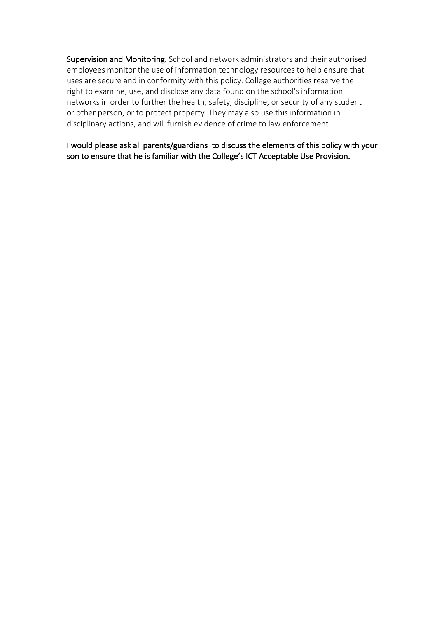Supervision and Monitoring. School and network administrators and their authorised employees monitor the use of information technology resources to help ensure that uses are secure and in conformity with this policy. College authorities reserve the right to examine, use, and disclose any data found on the school's information networks in order to further the health, safety, discipline, or security of any student or other person, or to protect property. They may also use this information in disciplinary actions, and will furnish evidence of crime to law enforcement.

I would please ask all parents/guardians to discuss the elements of this policy with your son to ensure that he is familiar with the College's ICT Acceptable Use Provision.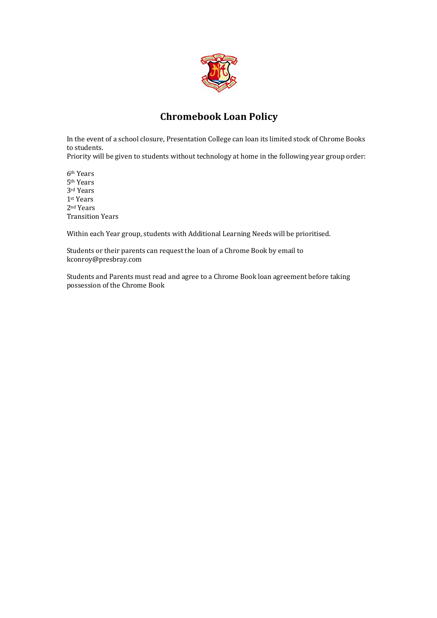

### **Chromebook Loan Policy**

In the event of a school closure, Presentation College can loan its limited stock of Chrome Books to students.

Priority will be given to students without technology at home in the following year group order:

6th Years 5th Years 3rd Years 1st Years 2nd Years Transition Years

Within each Year group, students with Additional Learning Needs will be prioritised.

Students or their parents can request the loan of a Chrome Book by email to kconroy@presbray.com

Students and Parents must read and agree to a Chrome Book loan agreement before taking possession of the Chrome Book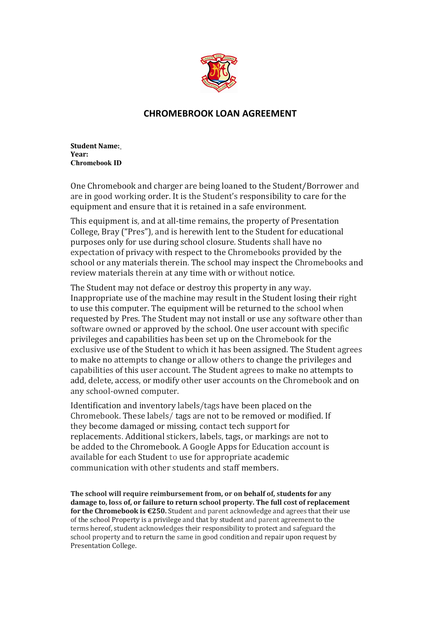

### **CHROMEBROOK LOAN AGREEMENT**

**Student Name: Year: Chromebook ID**

One Chromebook and charger are being loaned to the Student/Borrower and are in good working order. It is the Student's responsibility to care for the equipment and ensure that it is retained in a safe environment.

This equipment is, and at all-time remains, the property of Presentation College, Bray ("Pres"), and is herewith lent to the Student for educational purposes only for use during school closure. Students shall have no expectation of privacy with respect to the Chromebooks provided by the school or any materials therein. The school may inspect the Chromebooks and review materials therein at any time with or without notice.

The Student may not deface or destroy this property in any way. Inappropriate use of the machine may result in the Student losing their right to use this computer. The equipment will be returned to the school when requested by Pres. The Student may not install or use any software other than software owned or approved by the school. One user account with specific privileges and capabilities has been set up on the Chromebook for the exclusive use of the Student to which it has been assigned. The Student agrees to make no attempts to change or allow others to change the privileges and capabilities of this user account. The Student agrees to make no attempts to add, delete, access, or modify other user accounts on the Chromebook and on any school-owned computer.

Identification and inventory labels/tags have been placed on the Chromebook. These labels/ tags are not to be removed or modified. If they become damaged or missing, contact tech support for replacements. Additional stickers, labels, tags, or markings are not to be added to the Chromebook. A Google Apps for Education account is available for each Student to use for appropriate academic communication with other students and staff members.

The school will require reimbursement from, or on behalf of, students for any damage to, loss of, or failure to return school property. The full cost of replacement **for the Chromebook is €250.** Student and parent acknowledge and agrees that their use of the school Property is a privilege and that by student and parent agreement to the terms hereof, student acknowledges their responsibility to protect and safeguard the school property and to return the same in good condition and repair upon request by Presentation College.